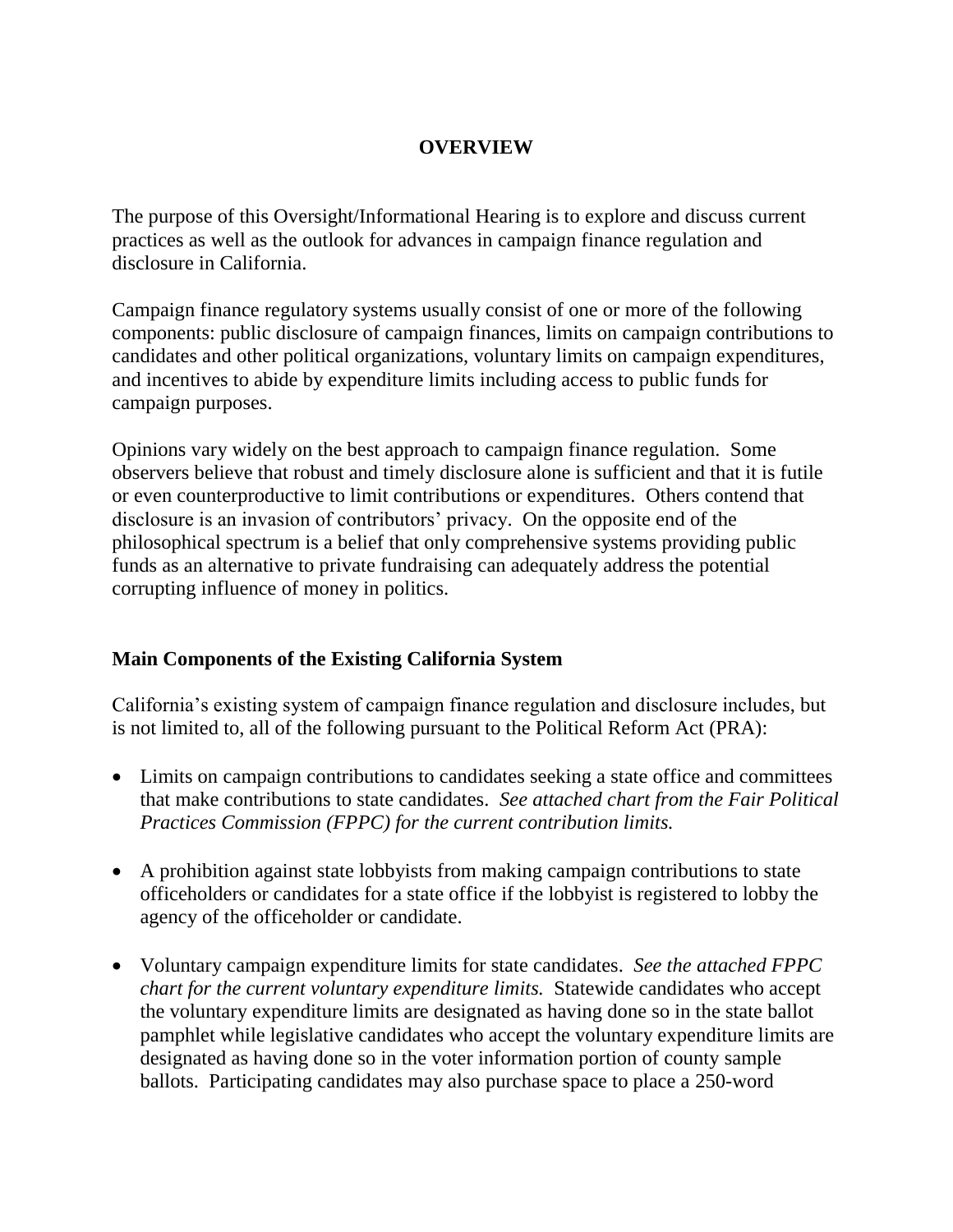## **OVERVIEW**

The purpose of this Oversight/Informational Hearing is to explore and discuss current practices as well as the outlook for advances in campaign finance regulation and disclosure in California.

Campaign finance regulatory systems usually consist of one or more of the following components: public disclosure of campaign finances, limits on campaign contributions to candidates and other political organizations, voluntary limits on campaign expenditures, and incentives to abide by expenditure limits including access to public funds for campaign purposes.

Opinions vary widely on the best approach to campaign finance regulation. Some observers believe that robust and timely disclosure alone is sufficient and that it is futile or even counterproductive to limit contributions or expenditures. Others contend that disclosure is an invasion of contributors' privacy. On the opposite end of the philosophical spectrum is a belief that only comprehensive systems providing public funds as an alternative to private fundraising can adequately address the potential corrupting influence of money in politics.

#### **Main Components of the Existing California System**

California's existing system of campaign finance regulation and disclosure includes, but is not limited to, all of the following pursuant to the Political Reform Act (PRA):

- Limits on campaign contributions to candidates seeking a state office and committees that make contributions to state candidates. *See attached chart from the Fair Political Practices Commission (FPPC) for the current contribution limits.*
- A prohibition against state lobbyists from making campaign contributions to state officeholders or candidates for a state office if the lobbyist is registered to lobby the agency of the officeholder or candidate.
- Voluntary campaign expenditure limits for state candidates. *See the attached FPPC chart for the current voluntary expenditure limits.* Statewide candidates who accept the voluntary expenditure limits are designated as having done so in the state ballot pamphlet while legislative candidates who accept the voluntary expenditure limits are designated as having done so in the voter information portion of county sample ballots. Participating candidates may also purchase space to place a 250-word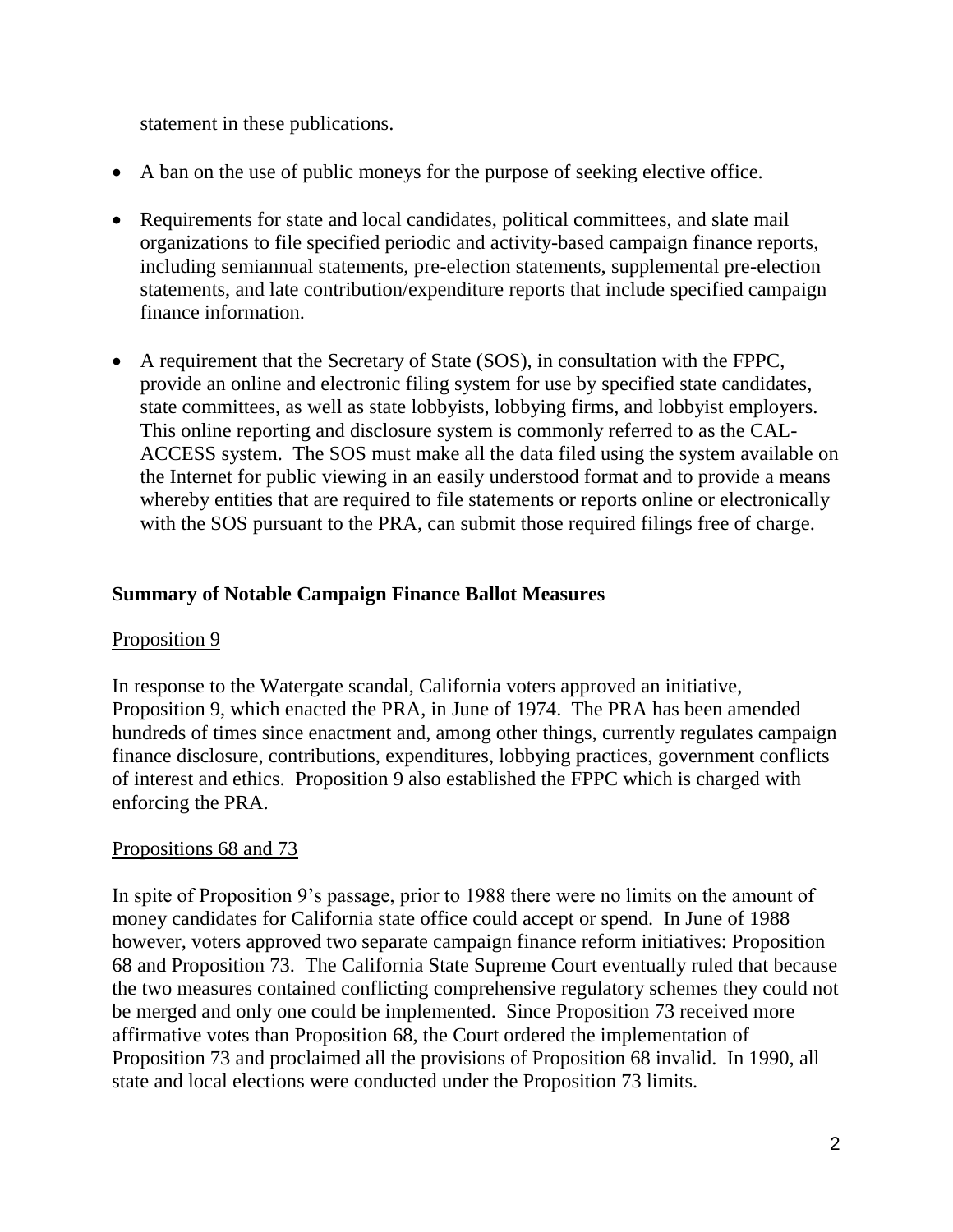statement in these publications.

- A ban on the use of public moneys for the purpose of seeking elective office.
- Requirements for state and local candidates, political committees, and slate mail organizations to file specified periodic and activity-based campaign finance reports, including semiannual statements, pre-election statements, supplemental pre-election statements, and late contribution/expenditure reports that include specified campaign finance information.
- A requirement that the Secretary of State (SOS), in consultation with the FPPC, provide an online and electronic filing system for use by specified state candidates, state committees, as well as state lobbyists, lobbying firms, and lobbyist employers. This online reporting and disclosure system is commonly referred to as the CAL-ACCESS system. The SOS must make all the data filed using the system available on the Internet for public viewing in an easily understood format and to provide a means whereby entities that are required to file statements or reports online or electronically with the SOS pursuant to the PRA, can submit those required filings free of charge.

### **Summary of Notable Campaign Finance Ballot Measures**

#### Proposition 9

In response to the Watergate scandal, California voters approved an initiative, Proposition 9, which enacted the PRA, in June of 1974. The PRA has been amended hundreds of times since enactment and, among other things, currently regulates campaign finance disclosure, contributions, expenditures, lobbying practices, government conflicts of interest and ethics. Proposition 9 also established the FPPC which is charged with enforcing the PRA.

#### Propositions 68 and 73

In spite of Proposition 9's passage, prior to 1988 there were no limits on the amount of money candidates for California state office could accept or spend. In June of 1988 however, voters approved two separate campaign finance reform initiatives: Proposition 68 and Proposition 73. The California State Supreme Court eventually ruled that because the two measures contained conflicting comprehensive regulatory schemes they could not be merged and only one could be implemented. Since Proposition 73 received more affirmative votes than Proposition 68, the Court ordered the implementation of Proposition 73 and proclaimed all the provisions of Proposition 68 invalid. In 1990, all state and local elections were conducted under the Proposition 73 limits.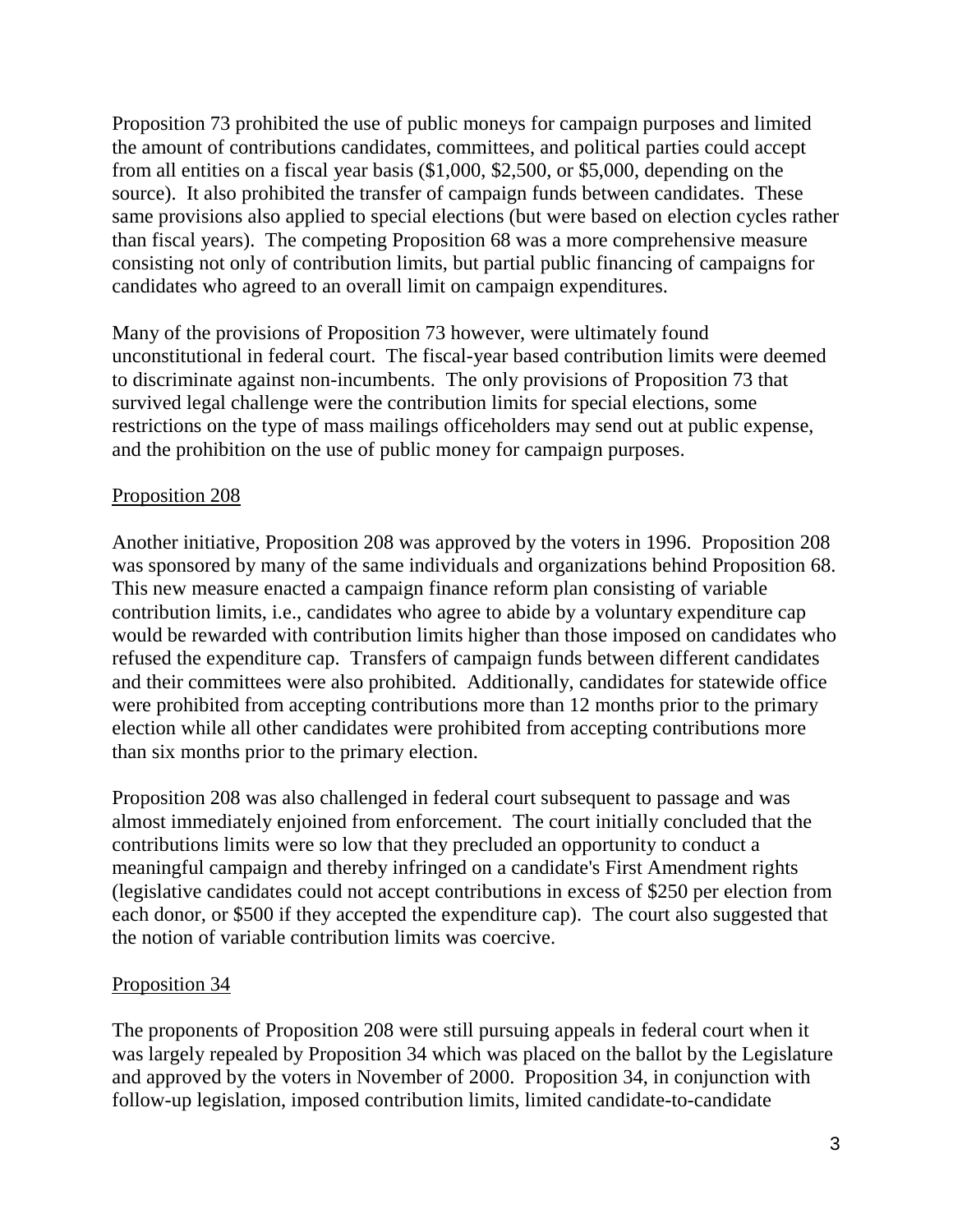Proposition 73 prohibited the use of public moneys for campaign purposes and limited the amount of contributions candidates, committees, and political parties could accept from all entities on a fiscal year basis (\$1,000, \$2,500, or \$5,000, depending on the source). It also prohibited the transfer of campaign funds between candidates. These same provisions also applied to special elections (but were based on election cycles rather than fiscal years). The competing Proposition 68 was a more comprehensive measure consisting not only of contribution limits, but partial public financing of campaigns for candidates who agreed to an overall limit on campaign expenditures.

Many of the provisions of Proposition 73 however, were ultimately found unconstitutional in federal court. The fiscal-year based contribution limits were deemed to discriminate against non-incumbents. The only provisions of Proposition 73 that survived legal challenge were the contribution limits for special elections, some restrictions on the type of mass mailings officeholders may send out at public expense, and the prohibition on the use of public money for campaign purposes.

### Proposition 208

Another initiative, Proposition 208 was approved by the voters in 1996. Proposition 208 was sponsored by many of the same individuals and organizations behind Proposition 68. This new measure enacted a campaign finance reform plan consisting of variable contribution limits, i.e., candidates who agree to abide by a voluntary expenditure cap would be rewarded with contribution limits higher than those imposed on candidates who refused the expenditure cap. Transfers of campaign funds between different candidates and their committees were also prohibited. Additionally, candidates for statewide office were prohibited from accepting contributions more than 12 months prior to the primary election while all other candidates were prohibited from accepting contributions more than six months prior to the primary election.

Proposition 208 was also challenged in federal court subsequent to passage and was almost immediately enjoined from enforcement. The court initially concluded that the contributions limits were so low that they precluded an opportunity to conduct a meaningful campaign and thereby infringed on a candidate's First Amendment rights (legislative candidates could not accept contributions in excess of \$250 per election from each donor, or \$500 if they accepted the expenditure cap). The court also suggested that the notion of variable contribution limits was coercive.

# Proposition 34

The proponents of Proposition 208 were still pursuing appeals in federal court when it was largely repealed by Proposition 34 which was placed on the ballot by the Legislature and approved by the voters in November of 2000. Proposition 34, in conjunction with follow-up legislation, imposed contribution limits, limited candidate-to-candidate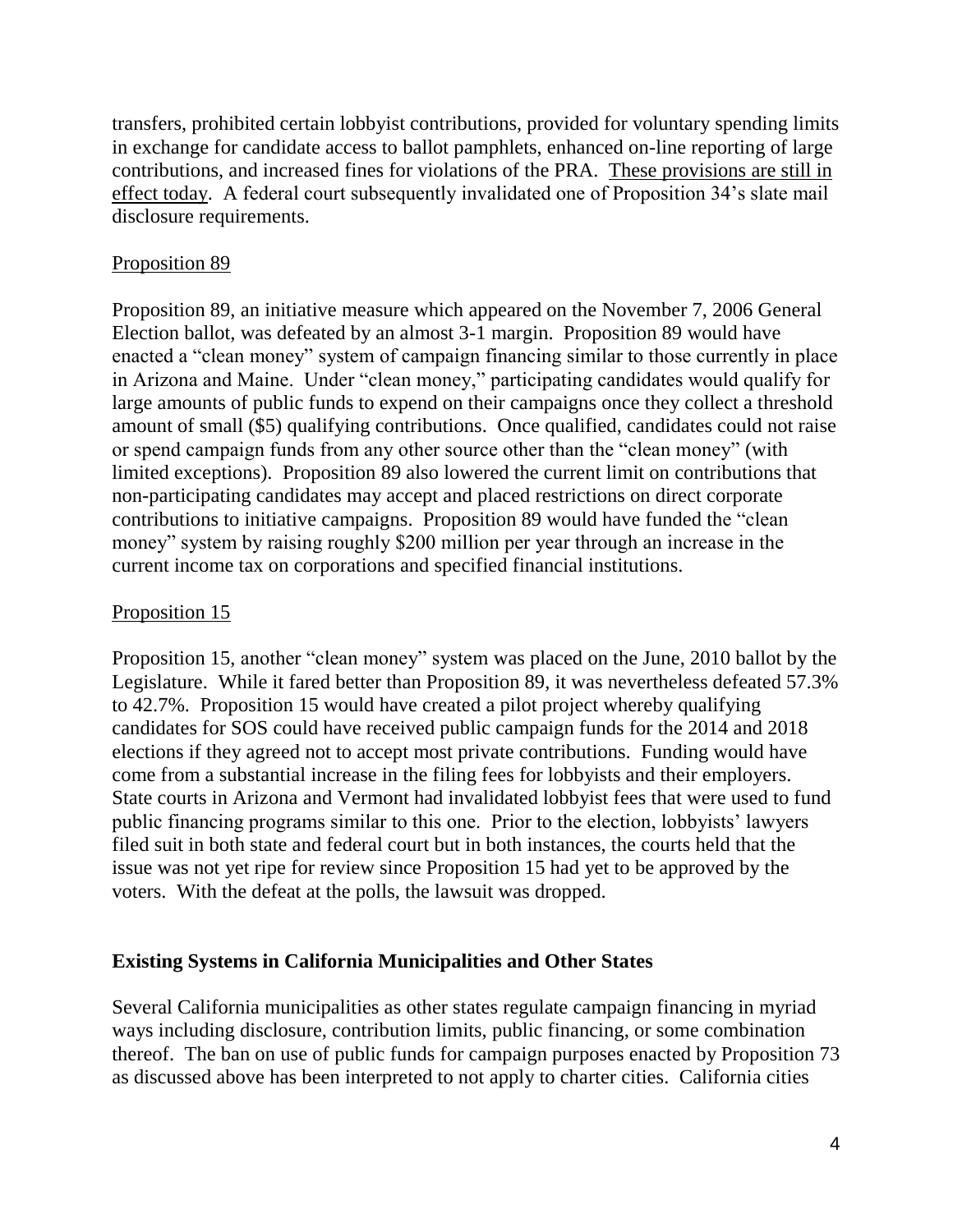transfers, prohibited certain lobbyist contributions, provided for voluntary spending limits in exchange for candidate access to ballot pamphlets, enhanced on-line reporting of large contributions, and increased fines for violations of the PRA. These provisions are still in effect today. A federal court subsequently invalidated one of Proposition 34's slate mail disclosure requirements.

# Proposition 89

Proposition 89, an initiative measure which appeared on the November 7, 2006 General Election ballot, was defeated by an almost 3-1 margin. Proposition 89 would have enacted a "clean money" system of campaign financing similar to those currently in place in Arizona and Maine. Under "clean money," participating candidates would qualify for large amounts of public funds to expend on their campaigns once they collect a threshold amount of small (\$5) qualifying contributions. Once qualified, candidates could not raise or spend campaign funds from any other source other than the "clean money" (with limited exceptions). Proposition 89 also lowered the current limit on contributions that non-participating candidates may accept and placed restrictions on direct corporate contributions to initiative campaigns. Proposition 89 would have funded the "clean money" system by raising roughly \$200 million per year through an increase in the current income tax on corporations and specified financial institutions.

# Proposition 15

Proposition 15, another "clean money" system was placed on the June, 2010 ballot by the Legislature. While it fared better than Proposition 89, it was nevertheless defeated 57.3% to 42.7%. Proposition 15 would have created a pilot project whereby qualifying candidates for SOS could have received public campaign funds for the 2014 and 2018 elections if they agreed not to accept most private contributions. Funding would have come from a substantial increase in the filing fees for lobbyists and their employers. State courts in Arizona and Vermont had invalidated lobbyist fees that were used to fund public financing programs similar to this one. Prior to the election, lobbyists' lawyers filed suit in both state and federal court but in both instances, the courts held that the issue was not yet ripe for review since Proposition 15 had yet to be approved by the voters. With the defeat at the polls, the lawsuit was dropped.

# **Existing Systems in California Municipalities and Other States**

Several California municipalities as other states regulate campaign financing in myriad ways including disclosure, contribution limits, public financing, or some combination thereof. The ban on use of public funds for campaign purposes enacted by Proposition 73 as discussed above has been interpreted to not apply to charter cities. California cities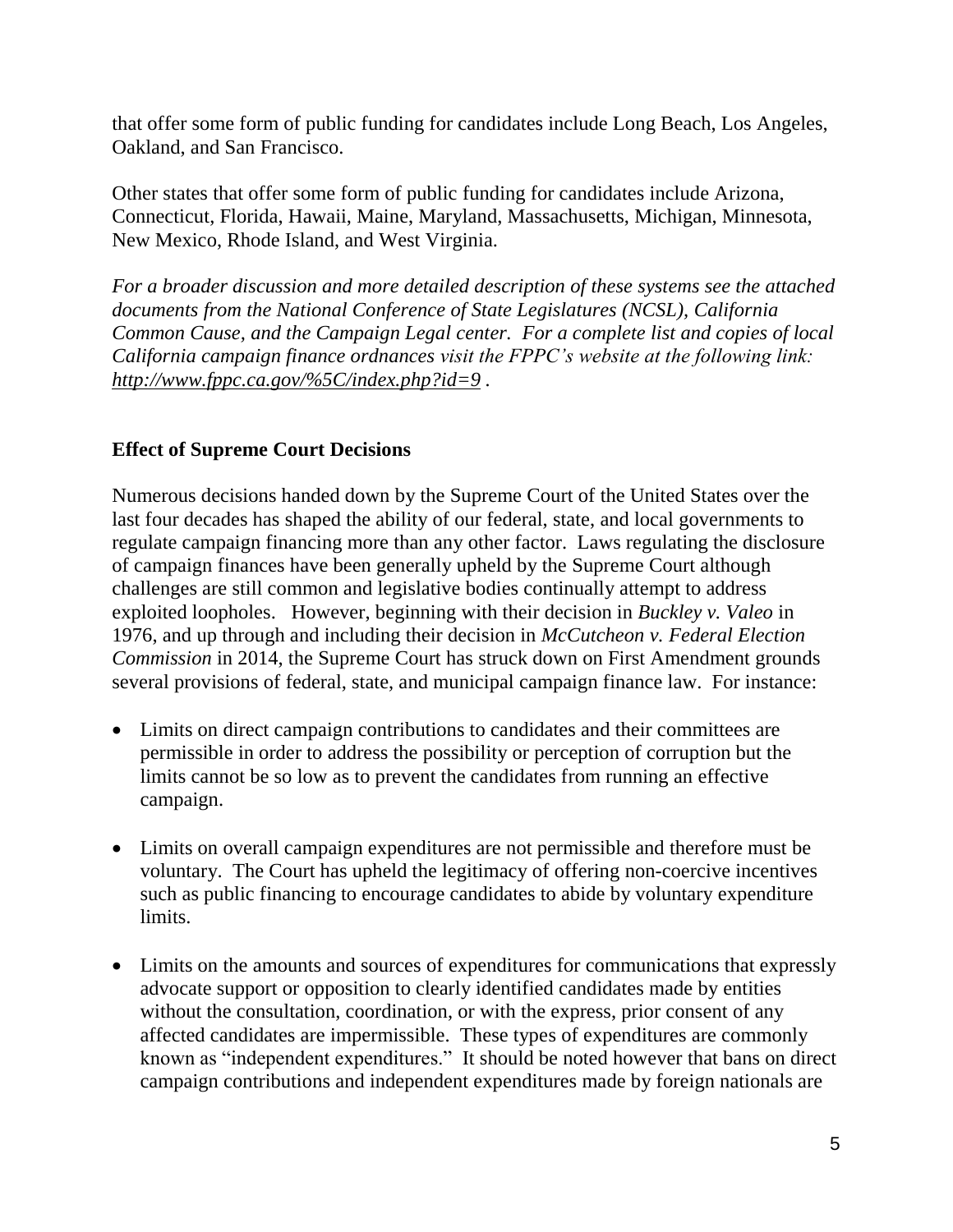that offer some form of public funding for candidates include Long Beach, Los Angeles, Oakland, and San Francisco.

Other states that offer some form of public funding for candidates include Arizona, Connecticut, Florida, Hawaii, Maine, Maryland, Massachusetts, Michigan, Minnesota, New Mexico, Rhode Island, and West Virginia.

*For a broader discussion and more detailed description of these systems see the attached documents from the National Conference of State Legislatures (NCSL), California Common Cause, and the Campaign Legal center. For a complete list and copies of local California campaign finance ordnances visit the FPPC's website at the following link: <http://www.fppc.ca.gov/%5C/index.php?id=9> .*

### **Effect of Supreme Court Decisions**

Numerous decisions handed down by the Supreme Court of the United States over the last four decades has shaped the ability of our federal, state, and local governments to regulate campaign financing more than any other factor. Laws regulating the disclosure of campaign finances have been generally upheld by the Supreme Court although challenges are still common and legislative bodies continually attempt to address exploited loopholes. However, beginning with their decision in *Buckley v. Valeo* in 1976, and up through and including their decision in *McCutcheon v. Federal Election Commission* in 2014, the Supreme Court has struck down on First Amendment grounds several provisions of federal, state, and municipal campaign finance law. For instance:

- Limits on direct campaign contributions to candidates and their committees are permissible in order to address the possibility or perception of corruption but the limits cannot be so low as to prevent the candidates from running an effective campaign.
- Limits on overall campaign expenditures are not permissible and therefore must be voluntary. The Court has upheld the legitimacy of offering non-coercive incentives such as public financing to encourage candidates to abide by voluntary expenditure limits.
- Limits on the amounts and sources of expenditures for communications that expressly advocate support or opposition to clearly identified candidates made by entities without the consultation, coordination, or with the express, prior consent of any affected candidates are impermissible. These types of expenditures are commonly known as "independent expenditures." It should be noted however that bans on direct campaign contributions and independent expenditures made by foreign nationals are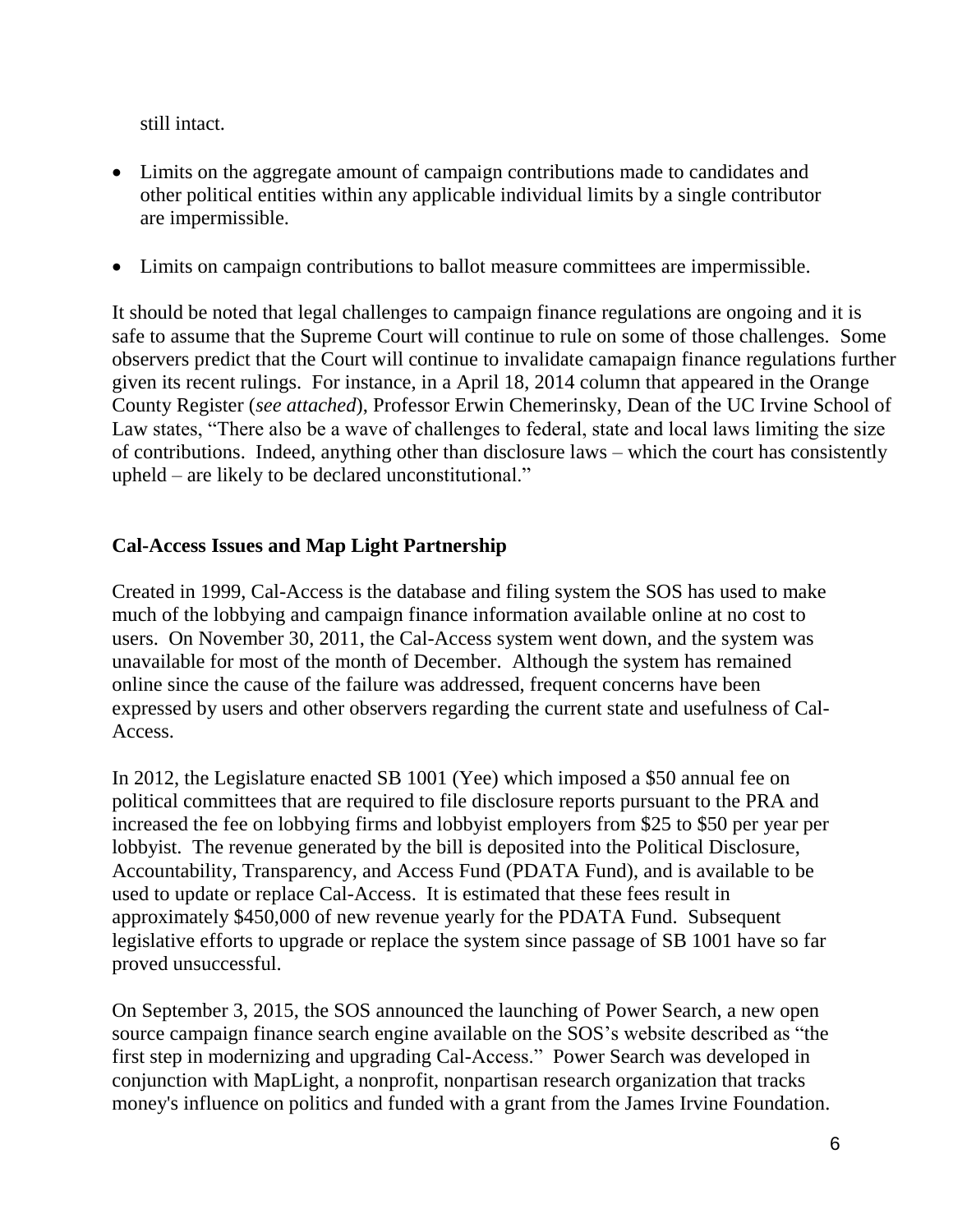still intact.

- Limits on the aggregate amount of campaign contributions made to candidates and other political entities within any applicable individual limits by a single contributor are impermissible.
- Limits on campaign contributions to ballot measure committees are impermissible.

It should be noted that legal challenges to campaign finance regulations are ongoing and it is safe to assume that the Supreme Court will continue to rule on some of those challenges. Some observers predict that the Court will continue to invalidate camapaign finance regulations further given its recent rulings. For instance, in a April 18, 2014 column that appeared in the Orange County Register (*see attached*), Professor Erwin Chemerinsky, Dean of the UC Irvine School of Law states, "There also be a wave of challenges to federal, state and local laws limiting the size of contributions. Indeed, anything other than disclosure laws – which the court has consistently upheld – are likely to be declared unconstitutional."

### **Cal-Access Issues and Map Light Partnership**

Created in 1999, Cal-Access is the database and filing system the SOS has used to make much of the lobbying and campaign finance information available online at no cost to users. On November 30, 2011, the Cal-Access system went down, and the system was unavailable for most of the month of December. Although the system has remained online since the cause of the failure was addressed, frequent concerns have been expressed by users and other observers regarding the current state and usefulness of Cal-Access.

In 2012, the Legislature enacted SB 1001 (Yee) which imposed a \$50 annual fee on political committees that are required to file disclosure reports pursuant to the PRA and increased the fee on lobbying firms and lobbyist employers from \$25 to \$50 per year per lobbyist. The revenue generated by the bill is deposited into the Political Disclosure, Accountability, Transparency, and Access Fund (PDATA Fund), and is available to be used to update or replace Cal-Access. It is estimated that these fees result in approximately \$450,000 of new revenue yearly for the PDATA Fund. Subsequent legislative efforts to upgrade or replace the system since passage of SB 1001 have so far proved unsuccessful.

On September 3, 2015, the SOS announced the launching of Power Search, a new open source campaign finance search engine available on the SOS's website described as "the first step in modernizing and upgrading Cal-Access." Power Search was developed in conjunction with MapLight, a nonprofit, nonpartisan research organization that tracks money's influence on politics and funded with a grant from the James Irvine Foundation.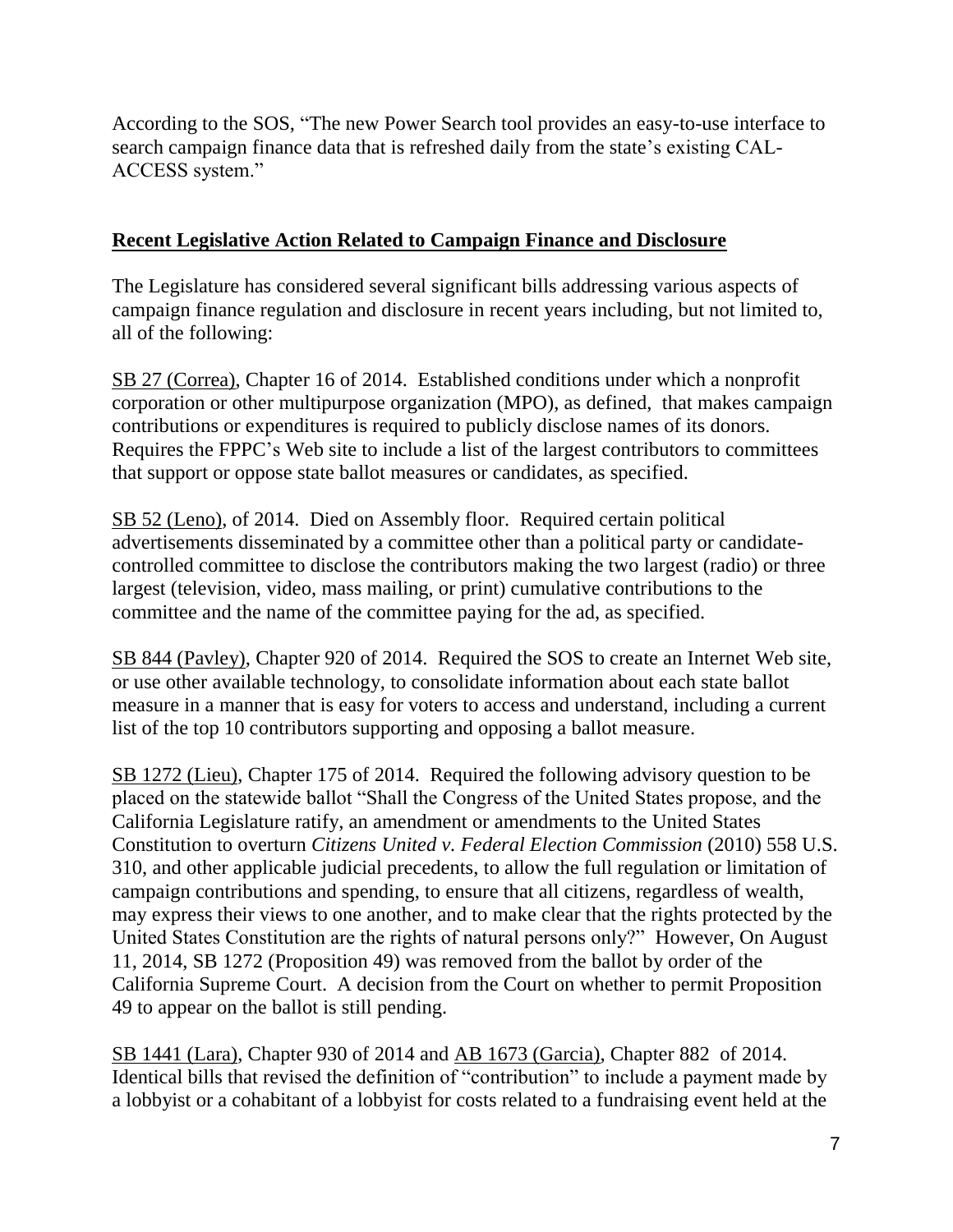According to the SOS, "The new Power Search tool provides an easy-to-use interface to search campaign finance data that is refreshed daily from the state's existing CAL-ACCESS system."

## **Recent Legislative Action Related to Campaign Finance and Disclosure**

The Legislature has considered several significant bills addressing various aspects of campaign finance regulation and disclosure in recent years including, but not limited to, all of the following:

SB 27 (Correa), Chapter 16 of 2014. Established conditions under which a nonprofit corporation or other multipurpose organization (MPO), as defined, that makes campaign contributions or expenditures is required to publicly disclose names of its donors. Requires the FPPC's Web site to include a list of the largest contributors to committees that support or oppose state ballot measures or candidates, as specified.

SB 52 (Leno), of 2014. Died on Assembly floor. Required certain political advertisements disseminated by a committee other than a political party or candidatecontrolled committee to disclose the contributors making the two largest (radio) or three largest (television, video, mass mailing, or print) cumulative contributions to the committee and the name of the committee paying for the ad, as specified.

SB 844 (Pavley), Chapter 920 of 2014. Required the SOS to create an Internet Web site, or use other available technology, to consolidate information about each state ballot measure in a manner that is easy for voters to access and understand, including a current list of the top 10 contributors supporting and opposing a ballot measure.

SB 1272 (Lieu), Chapter 175 of 2014. Required the following advisory question to be placed on the statewide ballot "Shall the Congress of the United States propose, and the California Legislature ratify, an amendment or amendments to the United States Constitution to overturn *Citizens United v. Federal Election Commission* (2010) 558 U.S. 310, and other applicable judicial precedents, to allow the full regulation or limitation of campaign contributions and spending, to ensure that all citizens, regardless of wealth, may express their views to one another, and to make clear that the rights protected by the United States Constitution are the rights of natural persons only?" However, On August 11, 2014, SB 1272 (Proposition 49) was removed from the ballot by order of the California Supreme Court. A decision from the Court on whether to permit Proposition 49 to appear on the ballot is still pending.

SB 1441 (Lara), Chapter 930 of 2014 and AB 1673 (Garcia), Chapter 882 of 2014. Identical bills that revised the definition of "contribution" to include a payment made by a lobbyist or a cohabitant of a lobbyist for costs related to a fundraising event held at the